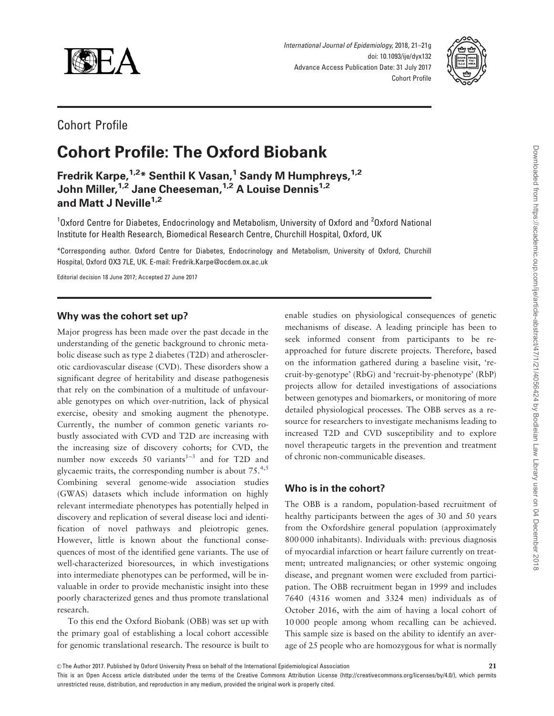

International Journal of Epidemiology, 2018, 21–21g doi: 10.1093/ije/dyx132 Advance Access Publication Date: 31 July 2017 Cohort Profile



## Cohort Profile

# Cohort Profile: The Oxford Biobank

Fredrik Karpe,<sup>1,2\*</sup> Senthil K Vasan,<sup>1</sup> Sandy M Humphreys,<sup>1,2</sup> John Miller, <sup>1,2</sup> Jane Cheeseman, <sup>1,2</sup> A Louise Dennis<sup>1,2</sup> and Matt J Neville $1,2$ 

<sup>1</sup>Oxford Centre for Diabetes, Endocrinology and Metabolism, University of Oxford and <sup>2</sup>Oxford National Institute for Health Research, Biomedical Research Centre, Churchill Hospital, Oxford, UK

\*Corresponding author. Oxford Centre for Diabetes, Endocrinology and Metabolism, University of Oxford, Churchill Hospital, Oxford OX3 7LE, UK. E-mail: Fredrik.Karpe@ocdem.ox.ac.uk

Editorial decision 18 June 2017; Accepted 27 June 2017

## Why was the cohort set up?

Major progress has been made over the past decade in the understanding of the genetic background to chronic metabolic disease such as type 2 diabetes (T2D) and atherosclerotic cardiovascular disease (CVD). These disorders show a significant degree of heritability and disease pathogenesis that rely on the combination of a multitude of unfavourable genotypes on which over-nutrition, lack of physical exercise, obesity and smoking augment the phenotype. Currently, the number of common genetic variants robustly associated with CVD and T2D are increasing with the increasing size of discovery cohorts; for CVD, the number now exceeds 50 variants $1-3$  and for T2D and glycaemic traits, the corresponding number is about  $75.^{4,5}$  $75.^{4,5}$  $75.^{4,5}$ Combining several genome-wide association studies (GWAS) datasets which include information on highly relevant intermediate phenotypes has potentially helped in discovery and replication of several disease loci and identification of novel pathways and pleiotropic genes. However, little is known about the functional consequences of most of the identified gene variants. The use of well-characterized bioresources, in which investigations into intermediate phenotypes can be performed, will be invaluable in order to provide mechanistic insight into these poorly characterized genes and thus promote translational research.

To this end the Oxford Biobank (OBB) was set up with the primary goal of establishing a local cohort accessible for genomic translational research. The resource is built to enable studies on physiological consequences of genetic mechanisms of disease. A leading principle has been to seek informed consent from participants to be reapproached for future discrete projects. Therefore, based on the information gathered during a baseline visit, 'recruit-by-genotype' (RbG) and 'recruit-by-phenotype' (RbP) projects allow for detailed investigations of associations between genotypes and biomarkers, or monitoring of more detailed physiological processes. The OBB serves as a resource for researchers to investigate mechanisms leading to increased T2D and CVD susceptibility and to explore novel therapeutic targets in the prevention and treatment of chronic non-communicable diseases.

## Who is in the cohort?

The OBB is a random, population-based recruitment of healthy participants between the ages of 30 and 50 years from the Oxfordshire general population (approximately 800 000 inhabitants). Individuals with: previous diagnosis of myocardial infarction or heart failure currently on treatment; untreated malignancies; or other systemic ongoing disease, and pregnant women were excluded from participation. The OBB recruitment began in 1999 and includes 7640 (4316 women and 3324 men) individuals as of October 2016, with the aim of having a local cohort of 10 000 people among whom recalling can be achieved. This sample size is based on the ability to identify an average of 25 people who are homozygous for what is normally

This is an Open Access article distributed under the terms of the Creative Commons Attribution License (http://creativecommons.org/licenses/by/4.0/), which permits unrestricted reuse, distribution, and reproduction in any medium, provided the original work is properly cited.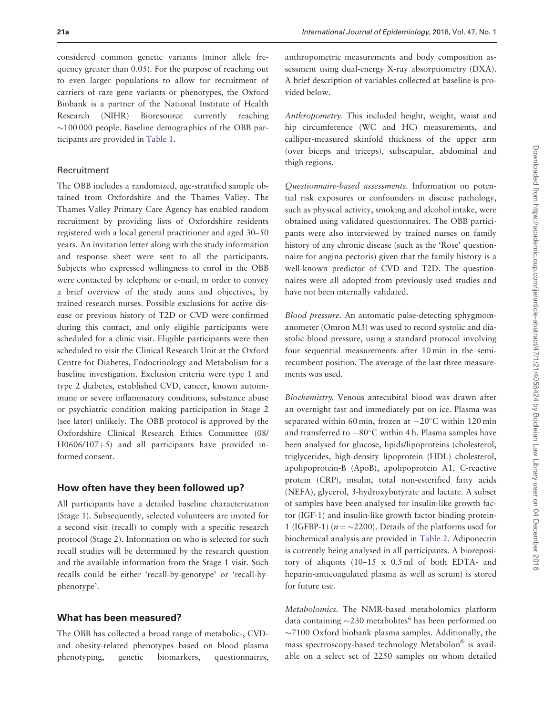considered common genetic variants (minor allele frequency greater than 0.05). For the purpose of reaching out to even larger populations to allow for recruitment of carriers of rare gene variants or phenotypes, the Oxford Biobank is a partner of the National Institute of Health Research (NIHR) Bioresource currently reaching  $\sim$ 100 000 people. Baseline demographics of the OBB participants are provided in [Table 1.](#page-2-0)

## Recruitment

The OBB includes a randomized, age-stratified sample obtained from Oxfordshire and the Thames Valley. The Thames Valley Primary Care Agency has enabled random recruitment by providing lists of Oxfordshire residents registered with a local general practitioner and aged 30–50 years. An invitation letter along with the study information and response sheet were sent to all the participants. Subjects who expressed willingness to enrol in the OBB were contacted by telephone or e-mail, in order to convey a brief overview of the study aims and objectives, by trained research nurses. Possible exclusions for active disease or previous history of T2D or CVD were confirmed during this contact, and only eligible participants were scheduled for a clinic visit. Eligible participants were then scheduled to visit the Clinical Research Unit at the Oxford Centre for Diabetes, Endocrinology and Metabolism for a baseline investigation. Exclusion criteria were type 1 and type 2 diabetes, established CVD, cancer, known autoimmune or severe inflammatory conditions, substance abuse or psychiatric condition making participation in Stage 2 (see later) unlikely. The OBB protocol is approved by the Oxfordshire Clinical Research Ethics Committee (08/  $H0606/107+5$ ) and all participants have provided informed consent.

## How often have they been followed up?

All participants have a detailed baseline characterization (Stage 1). Subsequently, selected volunteers are invited for a second visit (recall) to comply with a specific research protocol (Stage 2). Information on who is selected for such recall studies will be determined by the research question and the available information from the Stage 1 visit. Such recalls could be either 'recall-by-genotype' or 'recall-byphenotype'.

## What has been measured?

The OBB has collected a broad range of metabolic-, CVDand obesity-related phenotypes based on blood plasma phenotyping, genetic biomarkers, questionnaires, anthropometric measurements and body composition assessment using dual-energy X-ray absorptiometry (DXA). A brief description of variables collected at baseline is provided below.

Anthropometry. This included height, weight, waist and hip circumference (WC and HC) measurements, and calliper-measured skinfold thickness of the upper arm (over biceps and triceps), subscapular, abdominal and thigh regions.

Questionnaire-based assessments. Information on potential risk exposures or confounders in disease pathology, such as physical activity, smoking and alcohol intake, were obtained using validated questionnaires. The OBB participants were also interviewed by trained nurses on family history of any chronic disease (such as the 'Rose' questionnaire for angina pectoris) given that the family history is a well-known predictor of CVD and T2D. The questionnaires were all adopted from previously used studies and have not been internally validated.

Blood pressure. An automatic pulse-detecting sphygmomanometer (Omron M3) was used to record systolic and diastolic blood pressure, using a standard protocol involving four sequential measurements after 10 min in the semirecumbent position. The average of the last three measurements was used.

Biochemistry. Venous antecubital blood was drawn after an overnight fast and immediately put on ice. Plasma was separated within 60 min, frozen at  $-20^{\circ}$ C within 120 min and transferred to  $-80^{\circ}$ C within 4 h. Plasma samples have been analysed for glucose, lipids/lipoproteins (cholesterol, triglycerides, high-density lipoprotein (HDL) cholesterol, apolipoprotein-B (ApoB), apolipoprotein A1, C-reactive protein (CRP), insulin, total non-esterified fatty acids (NEFA), glycerol, 3-hydroxybutyrate and lactate. A subset of samples have been analysed for insulin-like growth factor (IGF-1) and insulin-like growth factor binding protein-1 (IGFBP-1) ( $n = \sim 2200$ ). Details of the platforms used for biochemical analysis are provided in [Table 2.](#page-3-0) Adiponectin is currently being analysed in all participants. A biorepository of aliquots (10–15 x 0.5 ml of both EDTA- and heparin-anticoagulated plasma as well as serum) is stored for future use.

Metabolomics. The NMR-based metabolomics platform data containing  $\sim$ 230 metabolites<sup>[6](#page-5-0)</sup> has been performed on  $\sim$ 7100 Oxford biobank plasma samples. Additionally, the mass spectroscopy-based technology Metabolon® is available on a select set of 2250 samples on whom detailed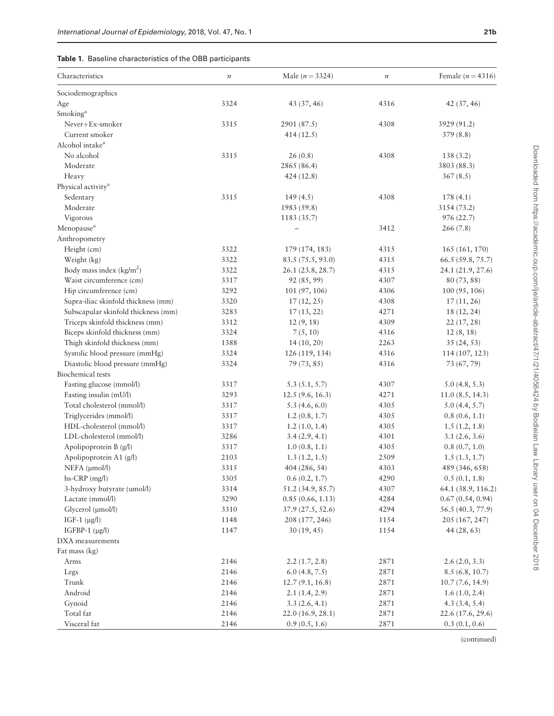Downloaded from https://academic.oup.com/ije/article-abstract/47/1/21/4056424 by Bodleian Law Library user on 04 December 2018 Downloaded from https://academic.oup.com/ije/article-abstract/47/1/21/4056424 by Bodleian Law Library user on 04 December 2018

## <span id="page-2-0"></span>Table 1. Baseline characteristics of the OBB participants

| Characteristics                     | $\boldsymbol{n}$ | Male ( $n = 3324$ ) | $\it n$ | Female ( $n = 4316$ ) |
|-------------------------------------|------------------|---------------------|---------|-----------------------|
| Sociodemographics                   |                  |                     |         |                       |
| Age                                 | 3324             | 43 (37, 46)         | 4316    | 42 (37, 46)           |
| Smoking <sup>a</sup>                |                  |                     |         |                       |
| Never+Ex-smoker                     | 3315             | 2901 (87.5)         | 4308    | 3929 (91.2)           |
| Current smoker                      |                  | 414(12.5)           |         | 379(8.8)              |
| Alcohol intake <sup>a</sup>         |                  |                     |         |                       |
| No alcohol                          | 3315             | 26(0.8)             | 4308    | 138(3.2)              |
| Moderate                            |                  | 2865 (86.4)         |         | 3803 (88.3)           |
| Heavy                               |                  | 424(12.8)           |         | 367(8.5)              |
| Physical activity <sup>a</sup>      |                  |                     |         |                       |
| Sedentary                           | 3315             | 149(4.5)            | 4308    | 178(4.1)              |
| Moderate                            |                  | 1983 (59.8)         |         | 3154 (73.2)           |
| Vigorous                            |                  | 1183 (35.7)         |         | 976 (22.7)            |
| Menopause <sup>a</sup>              |                  |                     | 3412    | 266(7.8)              |
| Anthropometry                       |                  |                     |         |                       |
| Height (cm)                         | 3322             | 179 (174, 183)      | 4315    | 165 (161, 170)        |
| Weight (kg)                         | 3322             | 83.5 (75.5, 93.0)   | 4315    | 66.5 (59.8, 75.7)     |
| Body mass index $(kg/m2)$           | 3322             | 26.1 (23.8, 28.7)   | 4315    | 24.1 (21.9, 27.6)     |
| Waist circumference (cm)            | 3317             | 92 (85, 99)         | 4307    | 80 (73, 88)           |
| Hip circumference (cm)              | 3292             | 101 (97, 106)       | 4306    | 100(95, 106)          |
| Supra-iliac skinfold thickness (mm) | 3320             | 17(12, 25)          | 4308    | 17(11, 26)            |
| Subscapular skinfold thickness (mm) | 3283             | 17(13, 22)          | 4271    | 18 (12, 24)           |
| Triceps skinfold thickness (mm)     | 3312             | 12(9, 18)           | 4309    | 22(17, 28)            |
| Biceps skinfold thickness (mm)      | 3324             | 7(5, 10)            | 4316    | 12(8, 18)             |
| Thigh skinfold thickness (mm)       | 1388             | 14 (10, 20)         | 2263    | 35(24, 53)            |
| Systolic blood pressure (mmHg)      | 3324             | 126 (119, 134)      | 4316    | 114 (107, 123)        |
| Diastolic blood pressure (mmHg)     | 3324             | 79 (73, 85)         | 4316    | 73 (67, 79)           |
| <b>Biochemical</b> tests            |                  |                     |         |                       |
| Fasting glucose (mmol/l)            | 3317             | 5.3(5.1, 5.7)       | 4307    | 5.0(4.8, 5.3)         |
| Fasting insulin (mU/l)              | 3293             | 12.5(9.6, 16.3)     | 4271    | 11.0(8.5, 14.3)       |
| Total cholesterol (mmol/l)          | 3317             | 5.3(4.6, 6.0)       | 4305    | 5.0(4.4, 5.7)         |
| Triglycerides (mmol/l)              | 3317             | 1.2(0.8, 1.7)       | 4305    | 0.8(0.6, 1.1)         |
| HDL-cholesterol (mmol/l)            | 3317             | 1.2(1.0, 1.4)       | 4305    | 1.5(1.2, 1.8)         |
| LDL-cholesterol (mmol/l)            | 3286             | 3.4(2.9, 4.1)       | 4301    | 3.1(2.6, 3.6)         |
| Apolipoprotein B (g/l)              | 3317             | 1.0(0.8, 1.1)       | 4305    | 0.8(0.7, 1.0)         |
| Apolipoprotein A1 (g/l)             | 2103             | 1.3(1.2, 1.5)       | 2509    | 1.5(1.3, 1.7)         |
| $NEFA$ ( $\mu$ mol/l)               | 3315             | 404 (286, 54)       | 4303    | 489 (346, 658)        |
| hs-CRP (mg/l)                       | 3305             | 0.6(0.2, 1.7)       | 4290    | 0.5(0.1, 1.8)         |
| 3-hydroxy butyrate (umol/l)         | 3314             | 51.2 (34.9, 85.7)   | 4307    | 64.1 (38.9, 116.2)    |
| Lactate (mmol/l)                    | 3290             | 0.85(0.66, 1.13)    | 4284    | 0.67(0.54, 0.94)      |
| Glycerol (µmol/l)                   | 3310             | 37.9 (27.5, 52.6)   | 4294    | 56.5 (40.3, 77.9)     |
| IGF-1 $(\mu g/l)$                   | 1148             | 208 (177, 246)      | 1154    | 205 (167, 247)        |
| IGFBP-1 $(\mu g/l)$                 | 1147             | 30(19, 45)          | 1154    | 44(28, 63)            |
| DXA measurements                    |                  |                     |         |                       |
| Fat mass (kg)                       |                  |                     |         |                       |
| Arms                                | 2146             | 2.2(1.7, 2.8)       | 2871    | 2.6(2.0, 3.3)         |
| Legs                                | 2146             | 6.0(4.8, 7.5)       | 2871    | 8.5(6.8, 10.7)        |
| Trunk                               | 2146             | 12.7(9.1, 16.8)     | 2871    | 10.7(7.6, 14.9)       |
| Android                             | 2146             | 2.1(1.4, 2.9)       | 2871    | 1.6(1.0, 2.4)         |
| Gynoid                              | 2146             | 3.3(2.6, 4.1)       | 2871    | 4.3(3.4, 5.4)         |
| Total fat                           | 2146             | 22.0 (16.9, 28.1)   | 2871    | 22.6 (17.6, 29.6)     |
| Visceral fat                        | 2146             | 0.9(0.5, 1.6)       | 2871    | 0.3(0.1, 0.6)         |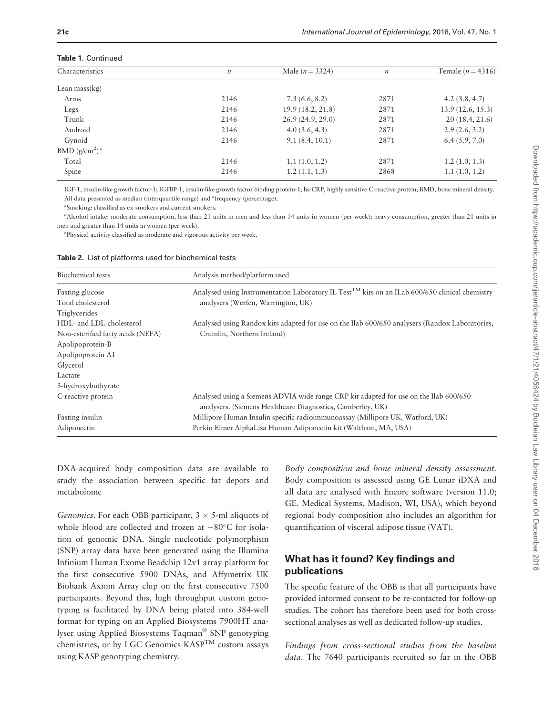#### <span id="page-3-0"></span>Table 1. Continued

| Characteristics            | $\boldsymbol{n}$ | Male $(n = 3324)$ | $\boldsymbol{n}$ | Female $(n=4316)$ |  |  |
|----------------------------|------------------|-------------------|------------------|-------------------|--|--|
| Lean mass $(kg)$           |                  |                   |                  |                   |  |  |
| Arms                       | 2146             | 7.3(6.6, 8.2)     | 2871             | 4.2(3.8, 4.7)     |  |  |
| Legs                       | 2146             | 19.9(18.2, 21.8)  | 2871             | 13.9(12.6, 15.3)  |  |  |
| Trunk                      | 2146             | 26.9(24.9, 29.0)  | 2871             | 20(18.4, 21.6)    |  |  |
| Android                    | 2146             | 4.0(3.6, 4.3)     | 2871             | 2.9(2.6, 3.2)     |  |  |
| Gynoid                     | 2146             | 9.1(8.4, 10.1)    | 2871             | 6.4(5.9, 7.0)     |  |  |
| BMD $(g/cm2)$ <sup>*</sup> |                  |                   |                  |                   |  |  |
| Total                      | 2146             | 1.1(1.0, 1.2)     | 2871             | 1.2(1.0, 1.3)     |  |  |
| Spine                      | 2146             | 1.2(1.1, 1.3)     | 2868             | 1.1(1.0, 1.2)     |  |  |
|                            |                  |                   |                  |                   |  |  |

IGF-1, insulin-like growth factor-1; IGFBP-1, insulin-like growth factor binding protein-1; hs-CRP, highly sensitive C-reactive protein; BMD, bone mineral density. All data presented as median (interquartile range) and <sup>a</sup>frequency (percentage).

a Smoking: classified as ex-smokers and current smokers.

a Alcohol intake: moderate consumption, less than 21 units in men and less than 14 units in women (per week); heavy consumption, greater than 21 units in men and greater than 14 units in women (per week).

<sup>a</sup>Physical activity classified as moderate and vigorous activity per week.

| Biochemical tests                 | Analysis method/platform used                                                                                                                       |
|-----------------------------------|-----------------------------------------------------------------------------------------------------------------------------------------------------|
| Fasting glucose                   | Analysed using Instrumentation Laboratory IL Test <sup>TM</sup> kits on an ILab 600/650 clinical chemistry                                          |
| Total cholesterol                 | analysers (Werfen, Warrington, UK)                                                                                                                  |
| Triglycerides                     |                                                                                                                                                     |
| HDL- and LDL-cholesterol          | Analysed using Randox kits adapted for use on the Ilab 600/650 analysers (Randox Laboratories,                                                      |
| Non-esterified fatty acids (NEFA) | Crumlin, Northern Ireland)                                                                                                                          |
| Apolipoprotein-B                  |                                                                                                                                                     |
| Apolipoprotein A1                 |                                                                                                                                                     |
| Glycerol                          |                                                                                                                                                     |
| Lactate                           |                                                                                                                                                     |
| 3-hydroxybuthyrate                |                                                                                                                                                     |
| C-reactive protein                | Analysed using a Siemens ADVIA wide range CRP kit adapted for use on the Ilab 600/650<br>analysers. (Siemens Healthcare Diagnostics, Camberley, UK) |
| Fasting insulin                   | Millipore Human Insulin specific radioimmunoassay (Millipore UK, Watford, UK)                                                                       |
| Adiponectin                       | Perkin Elmer AlphaLisa Human Adiponectin kit (Waltham, MA, USA)                                                                                     |

DXA-acquired body composition data are available to study the association between specific fat depots and metabolome

Genomics. For each OBB participant,  $3 \times 5$ -ml aliquots of whole blood are collected and frozen at  $-80^{\circ}$ C for isolation of genomic DNA. Single nucleotide polymorphism (SNP) array data have been generated using the Illumina Infinium Human Exome Beadchip 12v1 array platform for the first consecutive 5900 DNAs, and Affymetrix UK Biobank Axiom Array chip on the first consecutive 7500 participants. Beyond this, high throughput custom genotyping is facilitated by DNA being plated into 384-well format for typing on an Applied Biosystems 7900HT analyser using Applied Biosystems Taqman® SNP genotyping chemistries, or by LGC Genomics  $\text{KASP}^{\text{TM}}$  custom assays using KASP genotyping chemistry.

Body composition and bone mineral density assessment. Body composition is assessed using GE Lunar iDXA and all data are analysed with Encore software (version 11.0; GE. Medical Systems, Madison, WI, USA), which beyond regional body composition also includes an algorithm for quantification of visceral adipose tissue (VAT).

## What has it found? Key findings and publications

The specific feature of the OBB is that all participants have provided informed consent to be re-contacted for follow-up studies. The cohort has therefore been used for both crosssectional analyses as well as dedicated follow-up studies.

Findings from cross-sectional studies from the baseline data. The 7640 participants recruited so far in the OBB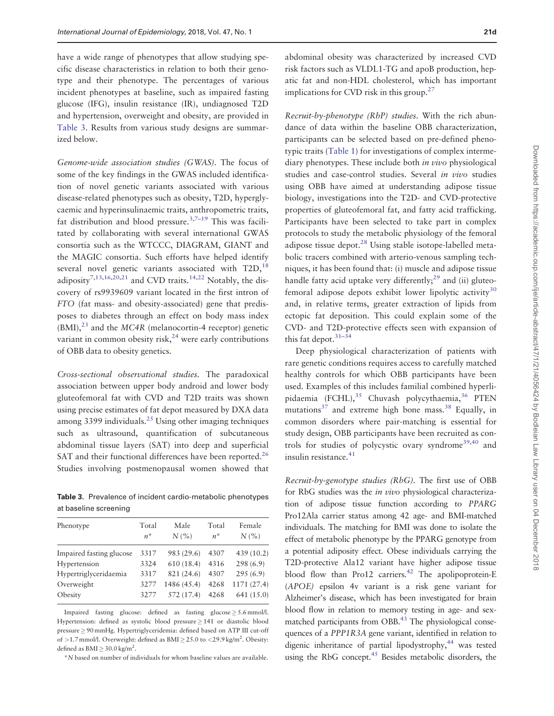have a wide range of phenotypes that allow studying specific disease characteristics in relation to both their genotype and their phenotype. The percentages of various incident phenotypes at baseline, such as impaired fasting glucose (IFG), insulin resistance (IR), undiagnosed T2D and hypertension, overweight and obesity, are provided in Table 3. Results from various study designs are summarized below.

Genome-wide association studies (GWAS). The focus of some of the key findings in the GWAS included identification of novel genetic variants associated with various disease-related phenotypes such as obesity, T2D, hyperglycaemic and hyperinsulinaemic traits, anthropometric traits, fat distribution and blood pressure.<sup>3,7-19</sup> This was facilitated by collaborating with several international GWAS consortia such as the WTCCC, DIAGRAM, GIANT and the MAGIC consortia. Such efforts have helped identify several novel genetic variants associated with  $T2D$ ,  $18$ adiposity<sup>7[,13,16,20,21](#page-6-0)</sup> and CVD traits.<sup>14,22</sup> Notably, the discovery of rs9939609 variant located in the first intron of FTO (fat mass- and obesity-associated) gene that predisposes to diabetes through an effect on body mass index  $(BMI)$ ,<sup>[23](#page-6-0)</sup> and the MC4R (melanocortin-4 receptor) genetic variant in common obesity risk, $^{24}$  $^{24}$  $^{24}$  were early contributions of OBB data to obesity genetics.

Cross-sectional observational studies. The paradoxical association between upper body android and lower body gluteofemoral fat with CVD and T2D traits was shown using precise estimates of fat depot measured by DXA data among 3399 individuals.<sup>[25](#page-6-0)</sup> Using other imaging techniques such as ultrasound, quantification of subcutaneous abdominal tissue layers (SAT) into deep and superficial SAT and their functional differences have been reported.<sup>26</sup> Studies involving postmenopausal women showed that

Table 3. Prevalence of incident cardio-metabolic phenotypes at baseline screening

| Total<br>$n^*$ | Male<br>N(% | Total<br>$n^*$ | Female<br>N(% |
|----------------|-------------|----------------|---------------|
| 3317           | 983 (29.6)  | 4307           | 439(10.2)     |
| 3324           | 610(18.4)   | 4316           | 298(6.9)      |
| 3317           | 821 (24.6)  | 4307           | 295(6.9)      |
| 3277           | 1486 (45.4) | 4268           | 1171 (27.4)   |
| 3277           | 572 (17.4)  | 4268           | 641 (15.0)    |
|                |             |                |               |

Impaired fasting glucose: defined as fasting glucose  $\geq$  5.6 mmol/l. Hypertension: defined as systolic blood pressure  $\geq$  141 or diastolic blood pressure 90 mmHg. Hypertriglyceridemia: defined based on ATP III cut-off of >1.7 mmol/l. Overweight: defined as  $BMI \ge 25.0$  to <29.9 kg/m<sup>2</sup>. Obesity: defined as  $\text{BMI} \geq 30.0 \text{ kg/m}^2$ .

\*N based on number of individuals for whom baseline values are available.

abdominal obesity was characterized by increased CVD risk factors such as VLDL1-TG and apoB production, hepatic fat and non-HDL cholesterol, which has important implications for CVD risk in this group.<sup>27</sup>

Recruit-by-phenotype (RbP) studies. With the rich abundance of data within the baseline OBB characterization, participants can be selected based on pre-defined phenotypic traits ([Table 1\)](#page-2-0) for investigations of complex intermediary phenotypes. These include both *in vivo* physiological studies and case-control studies. Several in vivo studies using OBB have aimed at understanding adipose tissue biology, investigations into the T2D- and CVD-protective properties of gluteofemoral fat, and fatty acid trafficking. Participants have been selected to take part in complex protocols to study the metabolic physiology of the femoral adipose tissue depot.[28](#page-6-0) Using stable isotope-labelled metabolic tracers combined with arterio-venous sampling techniques, it has been found that: (i) muscle and adipose tissue handle fatty acid uptake very differently; $^{29}$  $^{29}$  $^{29}$  and (ii) gluteo-femoral adipose depots exhibit lower lipolytic activity<sup>[30](#page-6-0)</sup> and, in relative terms, greater extraction of lipids from ectopic fat deposition. This could explain some of the CVD- and T2D-protective effects seen with expansion of this fat depot.[31–34](#page-6-0)

Deep physiological characterization of patients with rare genetic conditions requires access to carefully matched healthy controls for which OBB participants have been used. Examples of this includes familial combined hyperlipidaemia (FCHL), $35$  Chuvash polycythaemia, $36$  PTEN mutations<sup>37</sup> and extreme high bone mass.<sup>[38](#page-6-0)</sup> Equally, in common disorders where pair-matching is essential for study design, OBB participants have been recruited as con-trols for studies of polycystic ovary syndrome<sup>[39,40](#page-6-0)</sup> and insulin resistance.<sup>[41](#page-6-0)</sup>

Recruit-by-genotype studies (RbG). The first use of OBB for RbG studies was the *in vivo* physiological characterization of adipose tissue function according to PPARG Pro12Ala carrier status among 42 age- and BMI-matched individuals. The matching for BMI was done to isolate the effect of metabolic phenotype by the PPARG genotype from a potential adiposity effect. Obese individuals carrying the T2D-protective Ala12 variant have higher adipose tissue blood flow than Pro12 carriers.<sup>[42](#page-6-0)</sup> The apolipoprotein-E (APOE) epsilon 4v variant is a risk gene variant for Alzheimer's disease, which has been investigated for brain blood flow in relation to memory testing in age- and sex-matched participants from OBB.<sup>[43](#page-7-0)</sup> The physiological consequences of a PPP1R3A gene variant, identified in relation to digenic inheritance of partial lipodystrophy,<sup>44</sup> was tested using the RbG concept.<sup>45</sup> Besides metabolic disorders, the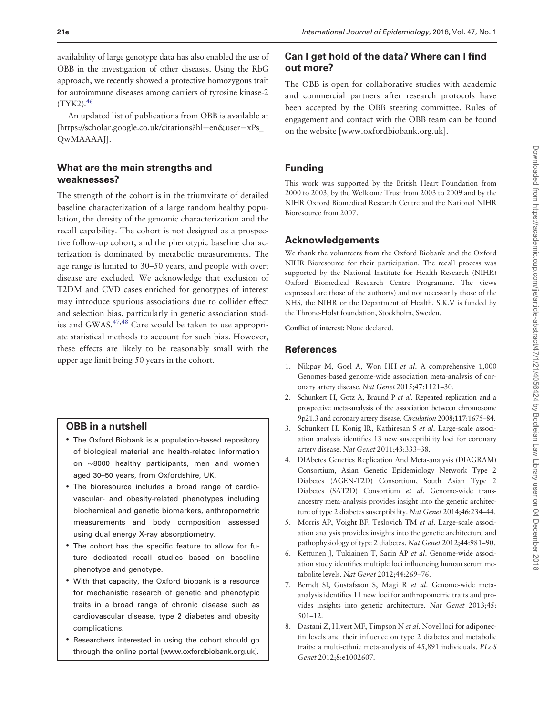<span id="page-5-0"></span>availability of large genotype data has also enabled the use of OBB in the investigation of other diseases. Using the RbG approach, we recently showed a protective homozygous trait for autoimmune diseases among carriers of tyrosine kinase-2  $(TYK2).$ <sup>46</sup>

An updated list of publications from OBB is available at [\[https://scholar.google.co.uk/citations?hl](https://scholar.google.co.uk/citations?hl=en&user=xPs_QwMAAAAJ)=[en&user](https://scholar.google.co.uk/citations?hl=en&user=xPs_QwMAAAAJ)=[xPs\\_](https://scholar.google.co.uk/citations?hl=en&user=xPs_QwMAAAAJ) [QwMAAAAJ](https://scholar.google.co.uk/citations?hl=en&user=xPs_QwMAAAAJ)].

## What are the main strengths and weaknesses?

The strength of the cohort is in the triumvirate of detailed baseline characterization of a large random healthy population, the density of the genomic characterization and the recall capability. The cohort is not designed as a prospective follow-up cohort, and the phenotypic baseline characterization is dominated by metabolic measurements. The age range is limited to 30–50 years, and people with overt disease are excluded. We acknowledge that exclusion of T2DM and CVD cases enriched for genotypes of interest may introduce spurious associations due to collider effect and selection bias, particularly in genetic association studies and GWAS.[47,48](#page-7-0) Care would be taken to use appropriate statistical methods to account for such bias. However, these effects are likely to be reasonably small with the upper age limit being 50 years in the cohort.

## OBB in a nutshell

- The Oxford Biobank is a population-based repository of biological material and health-related information on  $\sim$ 8000 healthy participants, men and women aged 30–50 years, from Oxfordshire, UK.
- The bioresource includes a broad range of cardiovascular- and obesity-related phenotypes including biochemical and genetic biomarkers, anthropometric measurements and body composition assessed using dual energy X-ray absorptiometry.
- The cohort has the specific feature to allow for future dedicated recall studies based on baseline phenotype and genotype.
- With that capacity, the Oxford biobank is a resource for mechanistic research of genetic and phenotypic traits in a broad range of chronic disease such as cardiovascular disease, type 2 diabetes and obesity complications.
- Researchers interested in using the cohort should go through the online portal [\[www.oxfordbiobank.org.uk](www.oxfordbiobank.org.uk)].

## Can I get hold of the data? Where can I find out more?

The OBB is open for collaborative studies with academic and commercial partners after research protocols have been accepted by the OBB steering committee. Rules of engagement and contact with the OBB team can be found on the website [<www.oxfordbiobank.org.uk>].

## Funding

This work was supported by the British Heart Foundation from 2000 to 2003, by the Wellcome Trust from 2003 to 2009 and by the NIHR Oxford Biomedical Research Centre and the National NIHR Bioresource from 2007.

## Acknowledgements

We thank the volunteers from the Oxford Biobank and the Oxford NIHR Bioresource for their participation. The recall process was supported by the National Institute for Health Research (NIHR) Oxford Biomedical Research Centre Programme. The views expressed are those of the author(s) and not necessarily those of the NHS, the NIHR or the Department of Health. S.K.V is funded by the Throne-Holst foundation, Stockholm, Sweden.

Conflict of interest: None declared.

## References

- 1. Nikpay M, Goel A, Won HH et al. A comprehensive 1,000 Genomes-based genome-wide association meta-analysis of coronary artery disease. Nat Genet 2015;47:1121–30.
- 2. Schunkert H, Gotz A, Braund P et al. Repeated replication and a prospective meta-analysis of the association between chromosome 9p21.3 and coronary artery disease. Circulation 2008;117:1675–84.
- 3. Schunkert H, Konig IR, Kathiresan S et al. Large-scale association analysis identifies 13 new susceptibility loci for coronary artery disease. Nat Genet 2011;43:333–38.
- 4. DIAbetes Genetics Replication And Meta-analysis (DIAGRAM) Consortium, Asian Genetic Epidemiology Network Type 2 Diabetes (AGEN-T2D) Consortium, South Asian Type 2 Diabetes (SAT2D) Consortium et al. Genome-wide transancestry meta-analysis provides insight into the genetic architecture of type 2 diabetes susceptibility. Nat Genet 2014;46:234–44.
- 5. Morris AP, Voight BF, Teslovich TM et al. Large-scale association analysis provides insights into the genetic architecture and pathophysiology of type 2 diabetes. Nat Genet 2012;44:981–90.
- 6. Kettunen J, Tukiainen T, Sarin AP et al. Genome-wide association study identifies multiple loci influencing human serum metabolite levels. Nat Genet 2012;44:269–76.
- 7. Berndt SI, Gustafsson S, Magi R et al. Genome-wide metaanalysis identifies 11 new loci for anthropometric traits and provides insights into genetic architecture. Nat Genet 2013;45: 501–12.
- 8. Dastani Z, Hivert MF, Timpson N et al. Novel loci for adiponectin levels and their influence on type 2 diabetes and metabolic traits: a multi-ethnic meta-analysis of 45,891 individuals. PLoS Genet 2012;8:e1002607.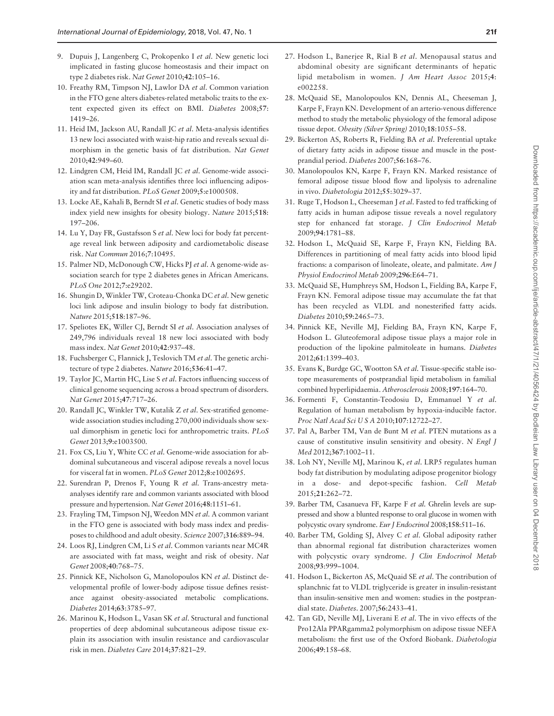- <span id="page-6-0"></span>9. Dupuis J, Langenberg C, Prokopenko I et al. New genetic loci implicated in fasting glucose homeostasis and their impact on type 2 diabetes risk. Nat Genet 2010;42:105–16.
- 10. Freathy RM, Timpson NJ, Lawlor DA et al. Common variation in the FTO gene alters diabetes-related metabolic traits to the extent expected given its effect on BMI. Diabetes 2008;57: 1419–26.
- 11. Heid IM, Jackson AU, Randall JC et al. Meta-analysis identifies 13 new loci associated with waist-hip ratio and reveals sexual dimorphism in the genetic basis of fat distribution. Nat Genet 2010;42:949–60.
- 12. Lindgren CM, Heid IM, Randall JC et al. Genome-wide association scan meta-analysis identifies three loci influencing adiposity and fat distribution. PLoS Genet 2009;5:e1000508.
- 13. Locke AE, Kahali B, Berndt SI et al. Genetic studies of body mass index yield new insights for obesity biology. Nature 2015;518: 197–206.
- 14. Lu Y, Day FR, Gustafsson S et al. New loci for body fat percentage reveal link between adiposity and cardiometabolic disease risk. Nat Commun 2016;7:10495.
- 15. Palmer ND, McDonough CW, Hicks PJ et al. A genome-wide association search for type 2 diabetes genes in African Americans. PLoS One 2012;7:e29202.
- 16. Shungin D, Winkler TW, Croteau-Chonka DC et al. New genetic loci link adipose and insulin biology to body fat distribution. Nature 2015;518:187–96.
- 17. Speliotes EK, Willer CJ, Berndt SI et al. Association analyses of 249,796 individuals reveal 18 new loci associated with body mass index. Nat Genet 2010;42:937–48.
- 18. Fuchsberger C, Flannick J, Teslovich TM et al. The genetic architecture of type 2 diabetes. Nature 2016;536:41–47.
- 19. Taylor JC, Martin HC, Lise S et al. Factors influencing success of clinical genome sequencing across a broad spectrum of disorders. Nat Genet 2015;47:717–26.
- 20. Randall JC, Winkler TW, Kutalik Z et al. Sex-stratified genomewide association studies including 270,000 individuals show sexual dimorphism in genetic loci for anthropometric traits. PLoS Genet 2013;9:e1003500.
- 21. Fox CS, Liu Y, White CC et al. Genome-wide association for abdominal subcutaneous and visceral adipose reveals a novel locus for visceral fat in women. PLoS Genet 2012;8:e1002695.
- 22. Surendran P, Drenos F, Young R et al. Trans-ancestry metaanalyses identify rare and common variants associated with blood pressure and hypertension. Nat Genet 2016;48:1151–61.
- 23. Frayling TM, Timpson NJ, Weedon MN et al. A common variant in the FTO gene is associated with body mass index and predisposes to childhood and adult obesity. Science 2007;316:889–94.
- 24. Loos RJ, Lindgren CM, Li S et al. Common variants near MC4R are associated with fat mass, weight and risk of obesity. Nat Genet 2008;40:768–75.
- 25. Pinnick KE, Nicholson G, Manolopoulos KN et al. Distinct developmental profile of lower-body adipose tissue defines resistance against obesity-associated metabolic complications. Diabetes 2014;63:3785–97.
- 26. Marinou K, Hodson L, Vasan SK et al. Structural and functional properties of deep abdominal subcutaneous adipose tissue explain its association with insulin resistance and cardiovascular risk in men. Diabetes Care 2014;37:821–29.
- 27. Hodson L, Banerjee R, Rial B et al. Menopausal status and abdominal obesity are significant determinants of hepatic lipid metabolism in women. J Am Heart Assoc 2015;4: e002258.
- 28. McQuaid SE, Manolopoulos KN, Dennis AL, Cheeseman J, Karpe F, Frayn KN. Development of an arterio-venous difference method to study the metabolic physiology of the femoral adipose tissue depot. Obesity (Silver Spring) 2010;18:1055–58.
- 29. Bickerton AS, Roberts R, Fielding BA et al. Preferential uptake of dietary fatty acids in adipose tissue and muscle in the postprandial period. Diabetes 2007;56:168–76.
- 30. Manolopoulos KN, Karpe F, Frayn KN. Marked resistance of femoral adipose tissue blood flow and lipolysis to adrenaline in vivo. Diabetologia 2012;55:3029–37.
- 31. Ruge T, Hodson L, Cheeseman J et al. Fasted to fed trafficking of fatty acids in human adipose tissue reveals a novel regulatory step for enhanced fat storage. J Clin Endocrinol Metab 2009;94:1781–88.
- 32. Hodson L, McQuaid SE, Karpe F, Frayn KN, Fielding BA. Differences in partitioning of meal fatty acids into blood lipid fractions: a comparison of linoleate, oleate, and palmitate. Am J Physiol Endocrinol Metab 2009;296:E64–71.
- 33. McQuaid SE, Humphreys SM, Hodson L, Fielding BA, Karpe F, Frayn KN. Femoral adipose tissue may accumulate the fat that has been recycled as VLDL and nonesterified fatty acids. Diabetes 2010;59:2465–73.
- 34. Pinnick KE, Neville MJ, Fielding BA, Frayn KN, Karpe F, Hodson L. Gluteofemoral adipose tissue plays a major role in production of the lipokine palmitoleate in humans. Diabetes 2012;61:1399–403.
- 35. Evans K, Burdge GC, Wootton SA et al. Tissue-specific stable isotope measurements of postprandial lipid metabolism in familial combined hyperlipidaemia. Atherosclerosis 2008;197:164–70.
- 36. Formenti F, Constantin-Teodosiu D, Emmanuel Y et al. Regulation of human metabolism by hypoxia-inducible factor. Proc Natl Acad Sci U S A 2010;107:12722–27.
- 37. Pal A, Barber TM, Van de Bunt M et al. PTEN mutations as a cause of constitutive insulin sensitivity and obesity. N Engl J Med 2012;367:1002–11.
- 38. Loh NY, Neville MJ, Marinou K, et al. LRP5 regulates human body fat distribution by modulating adipose progenitor biology in a dose- and depot-specific fashion. Cell Metab 2015;21:262–72.
- 39. Barber TM, Casanueva FF, Karpe F et al. Ghrelin levels are suppressed and show a blunted response to oral glucose in women with polycystic ovary syndrome. Eur J Endocrinol 2008;158:511–16.
- 40. Barber TM, Golding SJ, Alvey C et al. Global adiposity rather than abnormal regional fat distribution characterizes women with polycystic ovary syndrome. J Clin Endocrinol Metab 2008;93:999–1004.
- 41. Hodson L, Bickerton AS, McQuaid SE et al. The contribution of splanchnic fat to VLDL triglyceride is greater in insulin-resistant than insulin-sensitive men and women: studies in the postprandial state. Diabetes. 2007;56:2433–41.
- 42. Tan GD, Neville MJ, Liverani E et al. The in vivo effects of the Pro12Ala PPARgamma2 polymorphism on adipose tissue NEFA metabolism: the first use of the Oxford Biobank. Diabetologia 2006;49:158–68.